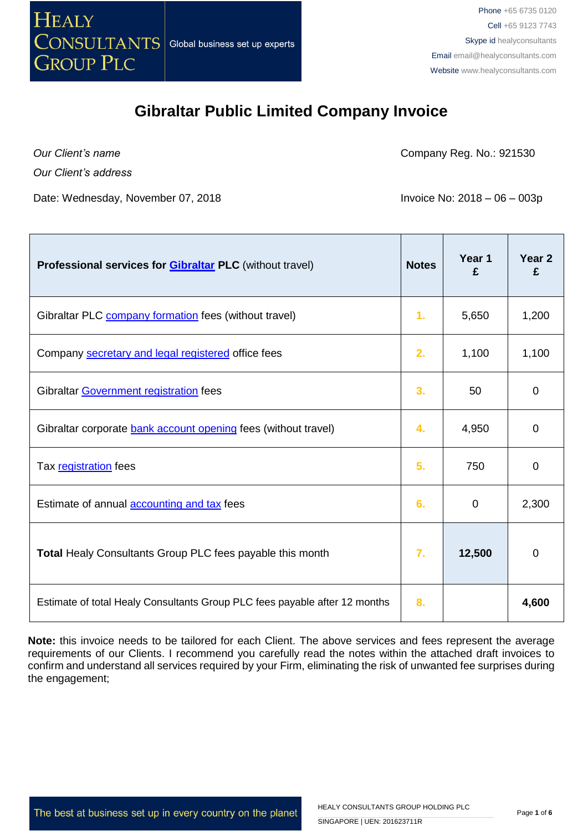

*Our Client's name*

Company Reg. No.: 921530

*Our Client's address*

Date: Wednesday, November 07, 2018 **Invoice No: 2018** - 06 – 003p

| Professional services for <b>Gibraltar PLC</b> (without travel)            | <b>Notes</b> | Year 1<br>£    | Year 2<br>£ |
|----------------------------------------------------------------------------|--------------|----------------|-------------|
| Gibraltar PLC company formation fees (without travel)                      | 1.           | 5,650          | 1,200       |
| Company secretary and legal registered office fees                         | 2.           | 1,100          | 1,100       |
| Gibraltar Government registration fees                                     | 3.           | 50             | $\mathbf 0$ |
| Gibraltar corporate bank account opening fees (without travel)             | 4.           | 4,950          | 0           |
| Tax registration fees                                                      | 5.           | 750            | 0           |
| Estimate of annual <b>accounting and tax</b> fees                          | 6.           | $\overline{0}$ | 2,300       |
| <b>Total Healy Consultants Group PLC fees payable this month</b>           | 7.           | 12,500         | 0           |
| Estimate of total Healy Consultants Group PLC fees payable after 12 months | 8.           |                | 4,600       |

**Note:** this invoice needs to be tailored for each Client. The above services and fees represent the average requirements of our Clients. I recommend you carefully read the notes within the attached draft invoices to confirm and understand all services required by your Firm, eliminating the risk of unwanted fee surprises during the engagement;

The best at business set up in every country on the planet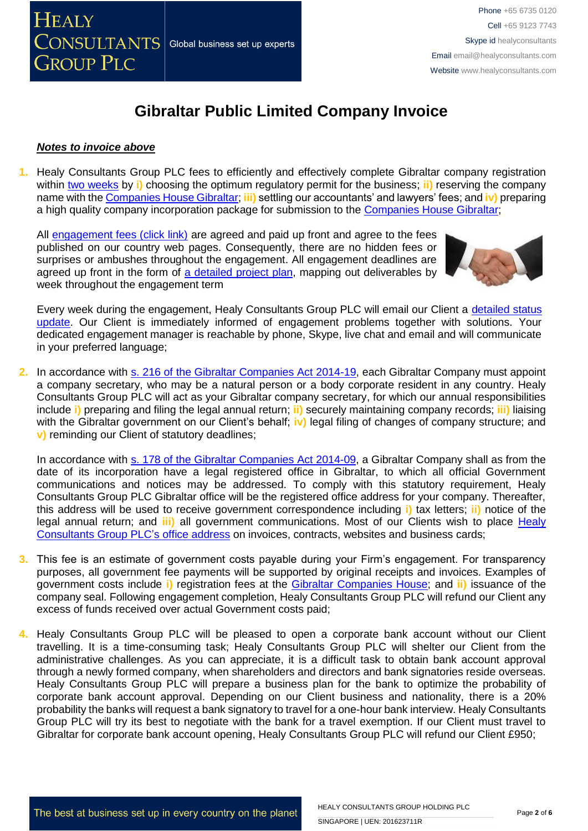

#### *Notes to invoice above*

**1.** Healy Consultants Group PLC fees to efficiently and effectively complete Gibraltar company registration within [two weeks](http://www.healyconsultants.com/gibraltar-company-registration/fees-timelines/#timelines) by **i)** choosing the optimum regulatory permit for the business; **ii)** reserving the company name with the [Companies House Gibraltar;](https://www.companieshouse.gi/FBNSel1) **iii)** settling our accountants' and lawyers' fees; and **iv)** preparing a high quality company incorporation package for submission to the [Companies House Gibraltar;](https://www.companieshouse.gi/FBNSel1)

All [engagement fees \(click link\)](http://www.healyconsultants.com/company-registration-fees/) are agreed and paid up front and agree to the fees published on our country web pages. Consequently, there are no hidden fees or surprises or ambushes throughout the engagement. All engagement deadlines are agreed up front in the form of [a detailed project plan,](http://www.healyconsultants.com/index-important-links/example-project-plan/) mapping out deliverables by week throughout the engagement term



Every week during the engagement, Healy Consultants Group PLC will email our Client a [detailed status](http://www.healyconsultants.com/index-important-links/weekly-engagement-status-email/)  [update.](http://www.healyconsultants.com/index-important-links/weekly-engagement-status-email/) Our Client is immediately informed of engagement problems together with solutions. Your dedicated engagement manager is reachable by phone, Skype, live chat and email and will communicate in your preferred language;

**2.** In accordance with [s. 216 of the Gibraltar Companies Act 2014-19,](http://www.gibraltarlaws.gov.gi/articles/2014-19o.pdf) each Gibraltar Company must appoint a company secretary, who may be a natural person or a body corporate resident in any country. Healy Consultants Group PLC will act as your Gibraltar company secretary, for which our annual responsibilities include **i)** preparing and filing the legal annual return; **ii)** securely maintaining company records; **iii)** liaising with the Gibraltar government on our Client's behalf; **iv)** legal filing of changes of company structure; and **v)** reminding our Client of statutory deadlines;

In accordance with [s. 178 of the Gibraltar Companies Act 2014-09,](http://www.gibraltarlaws.gov.gi/articles/2014-19o.pdf) a Gibraltar Company shall as from the date of its incorporation have a legal registered office in Gibraltar, to which all official Government communications and notices may be addressed. To comply with this statutory requirement, Healy Consultants Group PLC Gibraltar office will be the registered office address for your company. Thereafter, this address will be used to receive government correspondence including **i)** tax letters; **ii)** notice of the legal annual return; and **iii)** all government communications. Most of our Clients wish to place [Healy](http://www.healyconsultants.com/corporate-outsourcing-services/company-secretary-and-legal-registered-office/)  [Consultants Group PLC's](http://www.healyconsultants.com/corporate-outsourcing-services/company-secretary-and-legal-registered-office/) office address on invoices, contracts, websites and business cards;

- **3.** This fee is an estimate of government costs payable during your Firm's engagement. For transparency purposes, all government fee payments will be supported by original receipts and invoices. Examples of government costs include **i)** registration fees at the [Gibraltar Companies House;](https://www.companieshouse.gi/publications/C0019.pdf) and **ii)** issuance of the company seal. Following engagement completion, Healy Consultants Group PLC will refund our Client any excess of funds received over actual Government costs paid;
- **4.** Healy Consultants Group PLC will be pleased to open a corporate bank account without our Client travelling. It is a time-consuming task; Healy Consultants Group PLC will shelter our Client from the administrative challenges. As you can appreciate, it is a difficult task to obtain bank account approval through a newly formed company, when shareholders and directors and bank signatories reside overseas. Healy Consultants Group PLC will prepare a business plan for the bank to optimize the probability of corporate bank account approval. Depending on our Client business and nationality, there is a 20% probability the banks will request a bank signatory to travel for a one-hour bank interview. Healy Consultants Group PLC will try its best to negotiate with the bank for a travel exemption. If our Client must travel to Gibraltar for corporate bank account opening, Healy Consultants Group PLC will refund our Client £950;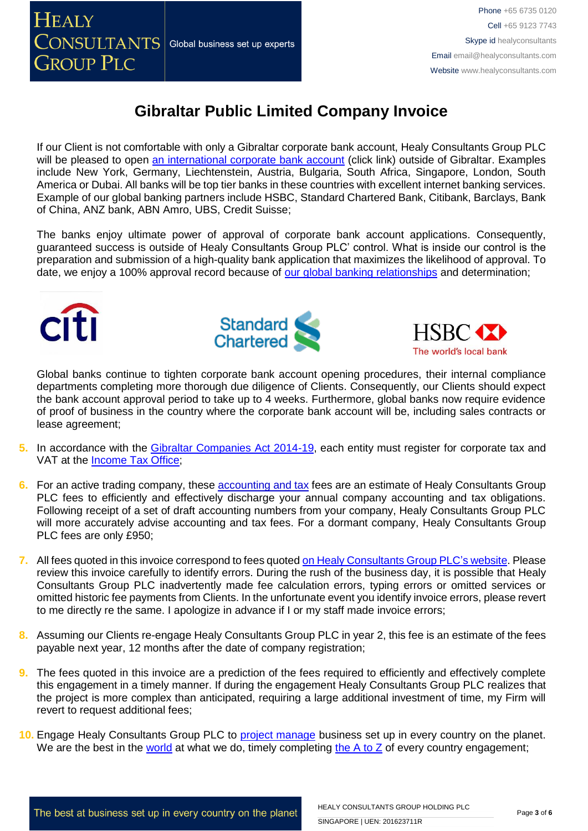

Phone +65 6735 0120 Cell +65 9123 7743 Skype id healyconsultants Email [email@healyconsultants.com](mailto:EMAIL@HEALYCONSULTANTS.COM) Website [www.healyconsultants.com](http://www.healyconsultants.com/)

# **Gibraltar Public Limited Company Invoice**

If our Client is not comfortable with only a Gibraltar corporate bank account, Healy Consultants Group PLC will be pleased to open [an international corporate bank account](http://www.healyconsultants.com/international-banking/) (click link) outside of Gibraltar. Examples include New York, Germany, Liechtenstein, Austria, Bulgaria, South Africa, Singapore, London, South America or Dubai. All banks will be top tier banks in these countries with excellent internet banking services. Example of our global banking partners include HSBC, Standard Chartered Bank, Citibank, Barclays, Bank of China, ANZ bank, ABN Amro, UBS, Credit Suisse;

The banks enjoy ultimate power of approval of corporate bank account applications. Consequently, guaranteed success is outside of Healy Consultants Group PLC' control. What is inside our control is the preparation and submission of a high-quality bank application that maximizes the likelihood of approval. To date, we enjoy a 100% approval record because of [our global banking relationships](http://www.healyconsultants.com/international-banking/corporate-accounts/) and determination;







Global banks continue to tighten corporate bank account opening procedures, their internal compliance departments completing more thorough due diligence of Clients. Consequently, our Clients should expect the bank account approval period to take up to 4 weeks. Furthermore, global banks now require evidence of proof of business in the country where the corporate bank account will be, including sales contracts or lease agreement;

- **5.** In accordance with the [Gibraltar Companies Act 2014-19,](http://www.gibraltarlaws.gov.gi/articles/2014-19o.pdf) each entity must register for corporate tax and VAT at the [Income Tax Office;](https://www.gibraltar.gov.gi/new/income-tax-office)
- **6.** For an active trading company, these [accounting and tax](http://www.healyconsultants.com/gibraltar-company-registration/accounting-legal/) fees are an estimate of Healy Consultants Group PLC fees to efficiently and effectively discharge your annual company accounting and tax obligations. Following receipt of a set of draft accounting numbers from your company, Healy Consultants Group PLC will more accurately advise accounting and tax fees. For a dormant company, Healy Consultants Group PLC fees are only £950;
- **7.** All fees quoted in this invoice correspond to fees quoted [on Healy Consultants Group PLC's](http://www.healyconsultants.com/company-registration-fees/) website. Please review this invoice carefully to identify errors. During the rush of the business day, it is possible that Healy Consultants Group PLC inadvertently made fee calculation errors, typing errors or omitted services or omitted historic fee payments from Clients. In the unfortunate event you identify invoice errors, please revert to me directly re the same. I apologize in advance if I or my staff made invoice errors;
- **8.** Assuming our Clients re-engage Healy Consultants Group PLC in year 2, this fee is an estimate of the fees payable next year, 12 months after the date of company registration;
- **9.** The fees quoted in this invoice are a prediction of the fees required to efficiently and effectively complete this engagement in a timely manner. If during the engagement Healy Consultants Group PLC realizes that the project is more complex than anticipated, requiring a large additional investment of time, my Firm will revert to request additional fees;
- 10. Engage Healy Consultants Group PLC to **project manage** business set up in every country on the planet. We are the best in the [world](http://www.healyconsultants.com/best-in-the-world/) at what we do, timely completing the  $A$  to  $Z$  of every country engagement;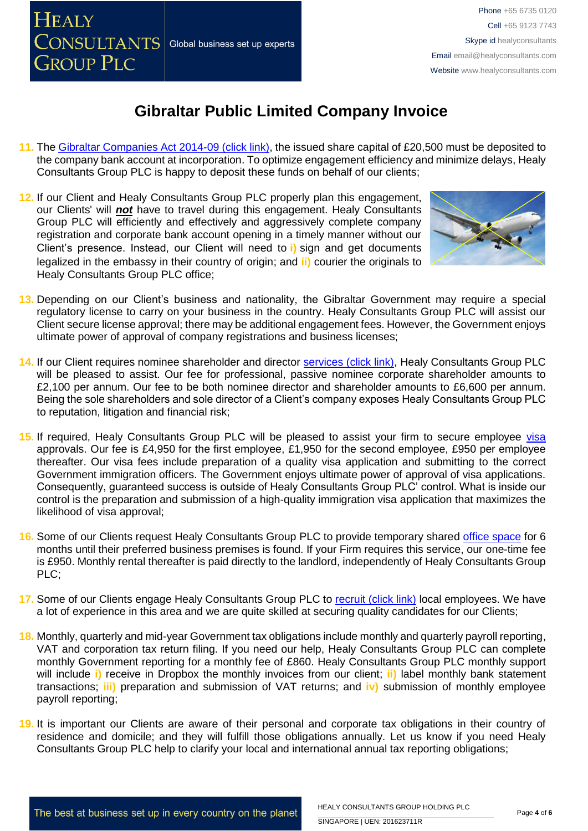

- **11.** The [Gibraltar Companies Act 2014-09 \(click link\),](http://www.gibraltarlaws.gov.gi/articles/1930-07o.pdf) the issued share capital of £20,500 must be deposited to the company bank account at incorporation. To optimize engagement efficiency and minimize delays, Healy Consultants Group PLC is happy to deposit these funds on behalf of our clients;
- **12.** If our Client and Healy Consultants Group PLC properly plan this engagement, our Clients' will *not* have to travel during this engagement. Healy Consultants Group PLC will efficiently and effectively and aggressively complete company registration and corporate bank account opening in a timely manner without our Client's presence. Instead, our Client will need to **i)** sign and get documents legalized in the embassy in their country of origin; and **ii)** courier the originals to Healy Consultants Group PLC office;



- **13.** Depending on our Client's business and nationality, the Gibraltar Government may require a special regulatory license to carry on your business in the country. Healy Consultants Group PLC will assist our Client secure license approval; there may be additional engagement fees. However, the Government enjoys ultimate power of approval of company registrations and business licenses;
- **14.** If our Client requires nominee shareholder and director [services \(click link\),](http://www.healyconsultants.com/corporate-outsourcing-services/nominee-shareholders-directors/) Healy Consultants Group PLC will be pleased to assist. Our fee for professional, passive nominee corporate shareholder amounts to £2,100 per annum. Our fee to be both nominee director and shareholder amounts to £6,600 per annum. Being the sole shareholders and sole director of a Client's company exposes Healy Consultants Group PLC to reputation, litigation and financial risk;
- 15. If required, Healy Consultants Group PLC will be pleased to assist your firm to secure employee [visa](http://www.healyconsultants.com/corporate-advisory-services/migration/) approvals. Our fee is £4,950 for the first employee, £1,950 for the second employee, £950 per employee thereafter. Our visa fees include preparation of a quality visa application and submitting to the correct Government immigration officers. The Government enjoys ultimate power of approval of visa applications. Consequently, guaranteed success is outside of Healy Consultants Group PLC' control. What is inside our control is the preparation and submission of a high-quality immigration visa application that maximizes the likelihood of visa approval;
- **16.** Some of our Clients request Healy Consultants Group PLC to provide temporary shared [office](http://www.healyconsultants.com/virtual-office/) space for 6 months until their preferred business premises is found. If your Firm requires this service, our one-time fee is £950. Monthly rental thereafter is paid directly to the landlord, independently of Healy Consultants Group PLC;
- 17. Some of our Clients engage Healy Consultants Group PLC to [recruit \(click link\)](http://www.healyconsultants.com/corporate-outsourcing-services/how-we-help-our-clients-recruit-quality-employees/) local employees. We have a lot of experience in this area and we are quite skilled at securing quality candidates for our Clients;
- **18.** Monthly, quarterly and mid-year Government tax obligations include monthly and quarterly payroll reporting, VAT and corporation tax return filing. If you need our help, Healy Consultants Group PLC can complete monthly Government reporting for a monthly fee of £860. Healy Consultants Group PLC monthly support will include **i)** receive in Dropbox the monthly invoices from our client; **ii)** label monthly bank statement transactions; **iii)** preparation and submission of VAT returns; and **iv)** submission of monthly employee payroll reporting;
- **19.** It is important our Clients are aware of their personal and corporate tax obligations in their country of residence and domicile; and they will fulfill those obligations annually. Let us know if you need Healy Consultants Group PLC help to clarify your local and international annual tax reporting obligations;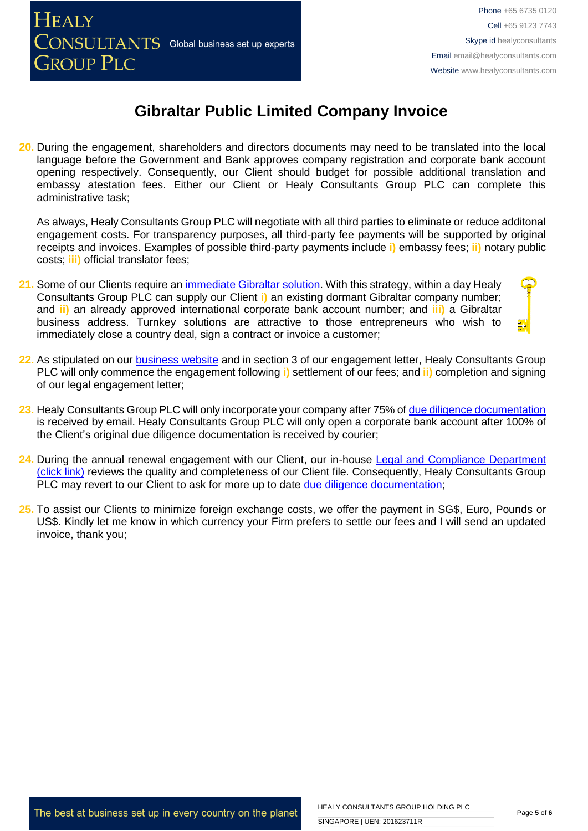

**20.** During the engagement, shareholders and directors documents may need to be translated into the local language before the Government and Bank approves company registration and corporate bank account opening respectively. Consequently, our Client should budget for possible additional translation and embassy atestation fees. Either our Client or Healy Consultants Group PLC can complete this administrative task;

As always, Healy Consultants Group PLC will negotiate with all third parties to eliminate or reduce additonal engagement costs. For transparency purposes, all third-party fee payments will be supported by original receipts and invoices. Examples of possible third-party payments include **i)** embassy fees; **ii)** notary public costs; **iii)** official translator fees;

- **21.** Some of our Clients require an [immediate Gibraltar solution.](http://www.healyconsultants.com/turnkey-solutions/) With this strategy, within a day Healy Consultants Group PLC can supply our Client **i)** an existing dormant Gibraltar company number; and **ii)** an already approved international corporate bank account number; and **iii)** a Gibraltar business address. Turnkey solutions are attractive to those entrepreneurs who wish to immediately close a country deal, sign a contract or invoice a customer;
- **22.** As stipulated on our [business website](http://www.healyconsultants.com/) and in section 3 of our engagement letter, Healy Consultants Group PLC will only commence the engagement following **i)** settlement of our fees; and **ii)** completion and signing of our legal engagement letter;
- **23.** Healy Consultants Group PLC will only incorporate your company after 75% of [due diligence documentation](http://www.healyconsultants.com/due-diligence/) is received by email. Healy Consultants Group PLC will only open a corporate bank account after 100% of the Client's original due diligence documentation is received by courier;
- **24.** During the annual renewal engagement with our Client, our in-house [Legal and Compliance Department](http://www.healyconsultants.com/about-us/key-personnel/cai-xin-profile/)  [\(click link\)](http://www.healyconsultants.com/about-us/key-personnel/cai-xin-profile/) reviews the quality and completeness of our Client file. Consequently, Healy Consultants Group PLC may revert to our Client to ask for more up to date [due diligence documentation;](http://www.healyconsultants.com/due-diligence/)
- **25.** To assist our Clients to minimize foreign exchange costs, we offer the payment in SG\$, Euro, Pounds or US\$. Kindly let me know in which currency your Firm prefers to settle our fees and I will send an updated invoice, thank you;

The best at business set up in every country on the planet